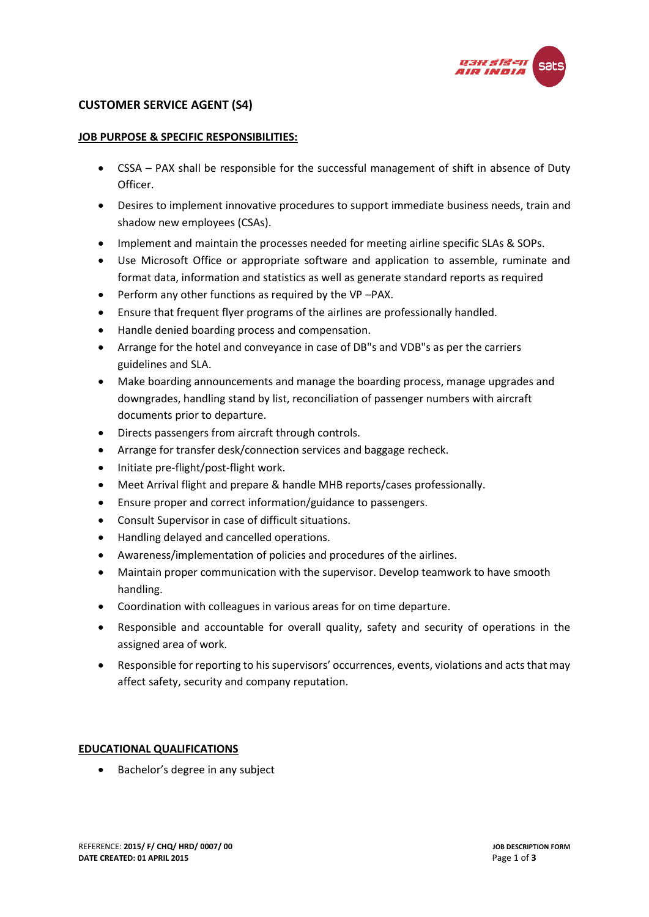

# **CUSTOMER SERVICE AGENT (S4)**

### **JOB PURPOSE & SPECIFIC RESPONSIBILITIES:**

- CSSA PAX shall be responsible for the successful management of shift in absence of Duty Officer.
- Desires to implement innovative procedures to support immediate business needs, train and shadow new employees (CSAs).
- Implement and maintain the processes needed for meeting airline specific SLAs & SOPs.
- Use Microsoft Office or appropriate software and application to assemble, ruminate and format data, information and statistics as well as generate standard reports as required
- Perform any other functions as required by the VP –PAX.
- Ensure that frequent flyer programs of the airlines are professionally handled.
- Handle denied boarding process and compensation.
- Arrange for the hotel and conveyance in case of DB"s and VDB"s as per the carriers guidelines and SLA.
- Make boarding announcements and manage the boarding process, manage upgrades and downgrades, handling stand by list, reconciliation of passenger numbers with aircraft documents prior to departure.
- Directs passengers from aircraft through controls.
- Arrange for transfer desk/connection services and baggage recheck.
- Initiate pre-flight/post-flight work.
- Meet Arrival flight and prepare & handle MHB reports/cases professionally.
- Ensure proper and correct information/guidance to passengers.
- Consult Supervisor in case of difficult situations.
- Handling delayed and cancelled operations.
- Awareness/implementation of policies and procedures of the airlines.
- Maintain proper communication with the supervisor. Develop teamwork to have smooth handling.
- Coordination with colleagues in various areas for on time departure.
- Responsible and accountable for overall quality, safety and security of operations in the assigned area of work.
- Responsible for reporting to his supervisors' occurrences, events, violations and acts that may affect safety, security and company reputation.

# **EDUCATIONAL QUALIFICATIONS**

• Bachelor's degree in any subject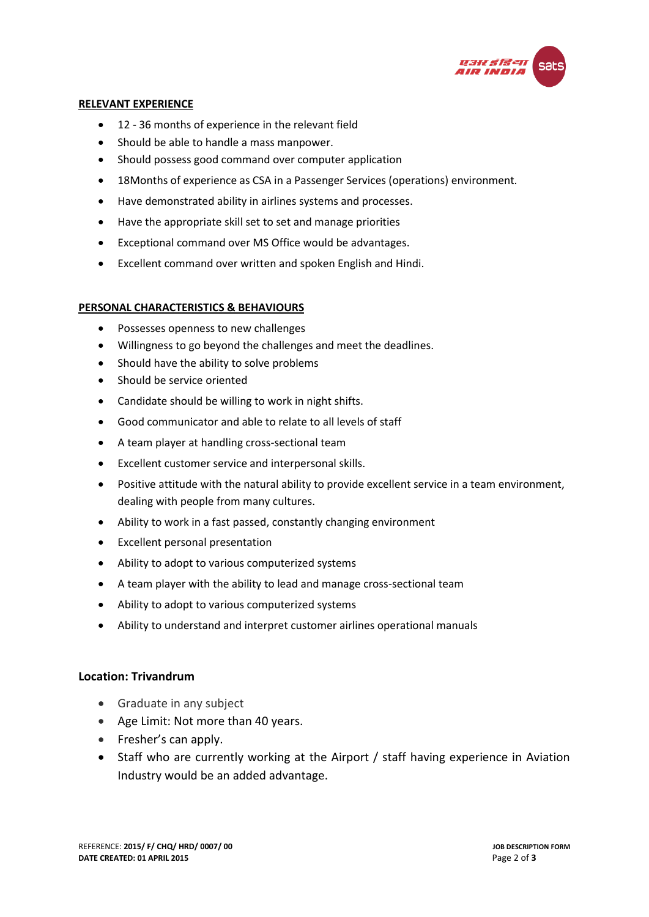

### **RELEVANT EXPERIENCE**

- 12 36 months of experience in the relevant field
- Should be able to handle a mass manpower.
- Should possess good command over computer application
- 18Months of experience as CSA in a Passenger Services (operations) environment.
- Have demonstrated ability in airlines systems and processes.
- Have the appropriate skill set to set and manage priorities
- Exceptional command over MS Office would be advantages.
- Excellent command over written and spoken English and Hindi.

# **PERSONAL CHARACTERISTICS & BEHAVIOURS**

- Possesses openness to new challenges
- Willingness to go beyond the challenges and meet the deadlines.
- Should have the ability to solve problems
- Should be service oriented
- Candidate should be willing to work in night shifts.
- Good communicator and able to relate to all levels of staff
- A team player at handling cross-sectional team
- Excellent customer service and interpersonal skills.
- Positive attitude with the natural ability to provide excellent service in a team environment, dealing with people from many cultures.
- Ability to work in a fast passed, constantly changing environment
- Excellent personal presentation
- Ability to adopt to various computerized systems
- A team player with the ability to lead and manage cross-sectional team
- Ability to adopt to various computerized systems
- Ability to understand and interpret customer airlines operational manuals

# **Location: Trivandrum**

- Graduate in any subject
- Age Limit: Not more than 40 years.
- Fresher's can apply.
- Staff who are currently working at the Airport / staff having experience in Aviation Industry would be an added advantage.